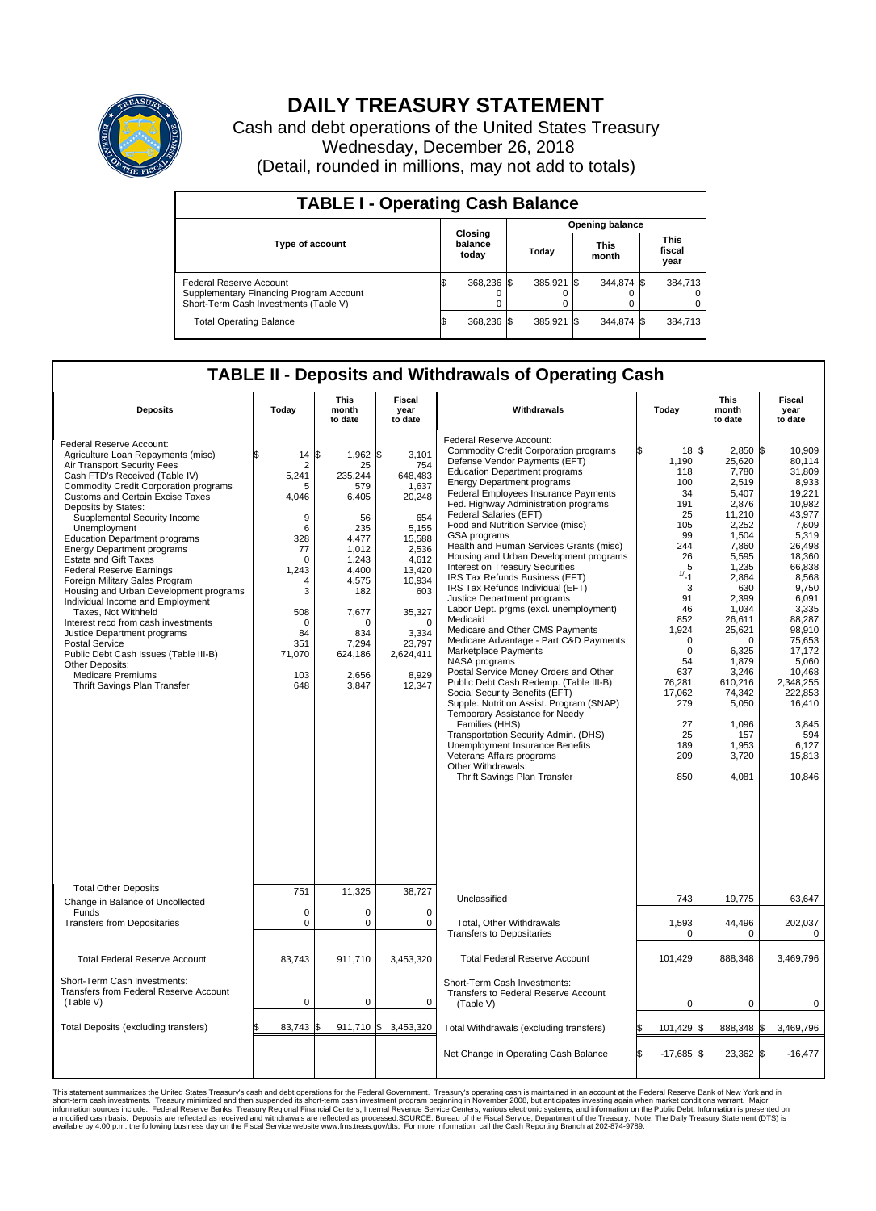

## **DAILY TREASURY STATEMENT**

Cash and debt operations of the United States Treasury Wednesday, December 26, 2018 (Detail, rounded in millions, may not add to totals)

| <b>TABLE I - Operating Cash Balance</b>                                                                     |    |                             |  |                        |  |                      |  |                               |  |  |  |
|-------------------------------------------------------------------------------------------------------------|----|-----------------------------|--|------------------------|--|----------------------|--|-------------------------------|--|--|--|
|                                                                                                             |    |                             |  | <b>Opening balance</b> |  |                      |  |                               |  |  |  |
| <b>Type of account</b>                                                                                      |    | Closing<br>balance<br>today |  | Today                  |  | <b>This</b><br>month |  | <b>This</b><br>fiscal<br>year |  |  |  |
| Federal Reserve Account<br>Supplementary Financing Program Account<br>Short-Term Cash Investments (Table V) |    | 368,236 \$                  |  | 385.921 \$             |  | 344.874 \$           |  | 384.713                       |  |  |  |
| <b>Total Operating Balance</b>                                                                              | ıа | 368,236 \$                  |  | 385.921 \$             |  | 344,874 \$           |  | 384,713                       |  |  |  |

## **TABLE II - Deposits and Withdrawals of Operating Cash**

| <b>Deposits</b>                                                                                                                                                                                                                                                                                                                                                                                                                                                                                                                                                                                                                                                                                                                                                                                   | Today                                                                                                                                                           | <b>This</b><br>month<br>to date                                                                                                                                                       | <b>Fiscal</b><br>year<br>to date                                                                                                                                                              | Withdrawals                                                                                                                                                                                                                                                                                                                                                                                                                                                                                                                                                                                                                                                                                                                                                                                                                                                                                                                                                                                                                                                                                                                                              | Today                                                                                                                                                                                                                            | <b>This</b><br>month<br>to date                                                                                                                                                                                                                                                     | <b>Fiscal</b><br>year<br>to date                                                                                                                                                                                                                                                                |
|---------------------------------------------------------------------------------------------------------------------------------------------------------------------------------------------------------------------------------------------------------------------------------------------------------------------------------------------------------------------------------------------------------------------------------------------------------------------------------------------------------------------------------------------------------------------------------------------------------------------------------------------------------------------------------------------------------------------------------------------------------------------------------------------------|-----------------------------------------------------------------------------------------------------------------------------------------------------------------|---------------------------------------------------------------------------------------------------------------------------------------------------------------------------------------|-----------------------------------------------------------------------------------------------------------------------------------------------------------------------------------------------|----------------------------------------------------------------------------------------------------------------------------------------------------------------------------------------------------------------------------------------------------------------------------------------------------------------------------------------------------------------------------------------------------------------------------------------------------------------------------------------------------------------------------------------------------------------------------------------------------------------------------------------------------------------------------------------------------------------------------------------------------------------------------------------------------------------------------------------------------------------------------------------------------------------------------------------------------------------------------------------------------------------------------------------------------------------------------------------------------------------------------------------------------------|----------------------------------------------------------------------------------------------------------------------------------------------------------------------------------------------------------------------------------|-------------------------------------------------------------------------------------------------------------------------------------------------------------------------------------------------------------------------------------------------------------------------------------|-------------------------------------------------------------------------------------------------------------------------------------------------------------------------------------------------------------------------------------------------------------------------------------------------|
| Federal Reserve Account:<br>Agriculture Loan Repayments (misc)<br>Air Transport Security Fees<br>Cash FTD's Received (Table IV)<br>Commodity Credit Corporation programs<br><b>Customs and Certain Excise Taxes</b><br>Deposits by States:<br>Supplemental Security Income<br>Unemployment<br><b>Education Department programs</b><br><b>Energy Department programs</b><br><b>Estate and Gift Taxes</b><br><b>Federal Reserve Earnings</b><br>Foreign Military Sales Program<br>Housing and Urban Development programs<br>Individual Income and Employment<br>Taxes, Not Withheld<br>Interest recd from cash investments<br>Justice Department programs<br><b>Postal Service</b><br>Public Debt Cash Issues (Table III-B)<br>Other Deposits:<br>Medicare Premiums<br>Thrift Savings Plan Transfer | 14<br>$\overline{2}$<br>5,241<br>5<br>4,046<br>9<br>6<br>328<br>77<br>$\mathbf 0$<br>1.243<br>4<br>3<br>508<br>$\mathbf 0$<br>84<br>351<br>71,070<br>103<br>648 | l\$<br>$1,962$ \$<br>25<br>235,244<br>579<br>6,405<br>56<br>235<br>4,477<br>1.012<br>1,243<br>4.400<br>4,575<br>182<br>7,677<br>$\Omega$<br>834<br>7,294<br>624,186<br>2,656<br>3,847 | 3,101<br>754<br>648,483<br>1,637<br>20,248<br>654<br>5.155<br>15,588<br>2,536<br>4,612<br>13,420<br>10,934<br>603<br>35,327<br>$\mathbf 0$<br>3,334<br>23,797<br>2,624,411<br>8,929<br>12,347 | Federal Reserve Account:<br><b>Commodity Credit Corporation programs</b><br>Defense Vendor Payments (EFT)<br><b>Education Department programs</b><br><b>Energy Department programs</b><br>Federal Employees Insurance Payments<br>Fed. Highway Administration programs<br>Federal Salaries (EFT)<br>Food and Nutrition Service (misc)<br>GSA programs<br>Health and Human Services Grants (misc)<br>Housing and Urban Development programs<br>Interest on Treasury Securities<br>IRS Tax Refunds Business (EFT)<br>IRS Tax Refunds Individual (EFT)<br>Justice Department programs<br>Labor Dept. prgms (excl. unemployment)<br>Medicaid<br>Medicare and Other CMS Payments<br>Medicare Advantage - Part C&D Payments<br>Marketplace Payments<br>NASA programs<br>Postal Service Money Orders and Other<br>Public Debt Cash Redemp. (Table III-B)<br>Social Security Benefits (EFT)<br>Supple. Nutrition Assist. Program (SNAP)<br>Temporary Assistance for Needy<br>Families (HHS)<br>Transportation Security Admin. (DHS)<br><b>Unemployment Insurance Benefits</b><br>Veterans Affairs programs<br>Other Withdrawals:<br>Thrift Savings Plan Transfer | 18 \$<br>1,190<br>118<br>100<br>34<br>191<br>25<br>105<br>99<br>244<br>26<br>5<br>$1/2 - 1$<br>3<br>91<br>46<br>852<br>1,924<br>$\Omega$<br>$\mathbf 0$<br>54<br>637<br>76,281<br>17,062<br>279<br>27<br>25<br>189<br>209<br>850 | 2,850 \$<br>25,620<br>7,780<br>2.519<br>5,407<br>2,876<br>11.210<br>2,252<br>1,504<br>7,860<br>5,595<br>1,235<br>2.864<br>630<br>2,399<br>1,034<br>26,611<br>25,621<br>$\Omega$<br>6,325<br>1,879<br>3,246<br>610,216<br>74,342<br>5,050<br>1,096<br>157<br>1.953<br>3,720<br>4,081 | 10,909<br>80.114<br>31,809<br>8.933<br>19,221<br>10,982<br>43.977<br>7,609<br>5.319<br>26,498<br>18,360<br>66,838<br>8.568<br>9,750<br>6.091<br>3,335<br>88,287<br>98,910<br>75,653<br>17,172<br>5,060<br>10.468<br>2,348,255<br>222,853<br>16,410<br>3,845<br>594<br>6.127<br>15,813<br>10,846 |
| <b>Total Other Deposits</b><br>Change in Balance of Uncollected                                                                                                                                                                                                                                                                                                                                                                                                                                                                                                                                                                                                                                                                                                                                   | 751                                                                                                                                                             | 11,325                                                                                                                                                                                | 38,727                                                                                                                                                                                        | Unclassified                                                                                                                                                                                                                                                                                                                                                                                                                                                                                                                                                                                                                                                                                                                                                                                                                                                                                                                                                                                                                                                                                                                                             | 743                                                                                                                                                                                                                              | 19,775                                                                                                                                                                                                                                                                              | 63,647                                                                                                                                                                                                                                                                                          |
| Funds<br><b>Transfers from Depositaries</b>                                                                                                                                                                                                                                                                                                                                                                                                                                                                                                                                                                                                                                                                                                                                                       | $\mathbf 0$<br>$\pmb{0}$                                                                                                                                        | $\mathbf 0$<br>$\pmb{0}$                                                                                                                                                              | 0<br>0                                                                                                                                                                                        | Total, Other Withdrawals<br><b>Transfers to Depositaries</b>                                                                                                                                                                                                                                                                                                                                                                                                                                                                                                                                                                                                                                                                                                                                                                                                                                                                                                                                                                                                                                                                                             | 1,593<br>$\Omega$                                                                                                                                                                                                                | 44,496<br>$\mathbf 0$                                                                                                                                                                                                                                                               | 202,037<br>$\mathbf 0$                                                                                                                                                                                                                                                                          |
| <b>Total Federal Reserve Account</b>                                                                                                                                                                                                                                                                                                                                                                                                                                                                                                                                                                                                                                                                                                                                                              | 83.743                                                                                                                                                          | 911,710                                                                                                                                                                               | 3,453,320                                                                                                                                                                                     | <b>Total Federal Reserve Account</b>                                                                                                                                                                                                                                                                                                                                                                                                                                                                                                                                                                                                                                                                                                                                                                                                                                                                                                                                                                                                                                                                                                                     | 101,429                                                                                                                                                                                                                          | 888,348                                                                                                                                                                                                                                                                             | 3,469,796                                                                                                                                                                                                                                                                                       |
| Short-Term Cash Investments:<br>Transfers from Federal Reserve Account<br>(Table V)                                                                                                                                                                                                                                                                                                                                                                                                                                                                                                                                                                                                                                                                                                               | $\pmb{0}$                                                                                                                                                       | $\pmb{0}$                                                                                                                                                                             | 0                                                                                                                                                                                             | Short-Term Cash Investments:<br><b>Transfers to Federal Reserve Account</b><br>(Table V)                                                                                                                                                                                                                                                                                                                                                                                                                                                                                                                                                                                                                                                                                                                                                                                                                                                                                                                                                                                                                                                                 | $\mathbf 0$                                                                                                                                                                                                                      | 0                                                                                                                                                                                                                                                                                   | 0                                                                                                                                                                                                                                                                                               |
| Total Deposits (excluding transfers)                                                                                                                                                                                                                                                                                                                                                                                                                                                                                                                                                                                                                                                                                                                                                              | 83,743                                                                                                                                                          | $911,710$ \$<br>l\$                                                                                                                                                                   | 3,453,320                                                                                                                                                                                     | Total Withdrawals (excluding transfers)                                                                                                                                                                                                                                                                                                                                                                                                                                                                                                                                                                                                                                                                                                                                                                                                                                                                                                                                                                                                                                                                                                                  | 101,429 \$                                                                                                                                                                                                                       | 888,348 \$                                                                                                                                                                                                                                                                          | 3,469,796                                                                                                                                                                                                                                                                                       |
|                                                                                                                                                                                                                                                                                                                                                                                                                                                                                                                                                                                                                                                                                                                                                                                                   |                                                                                                                                                                 |                                                                                                                                                                                       |                                                                                                                                                                                               | Net Change in Operating Cash Balance                                                                                                                                                                                                                                                                                                                                                                                                                                                                                                                                                                                                                                                                                                                                                                                                                                                                                                                                                                                                                                                                                                                     | $-17,685$ \$<br>ß.                                                                                                                                                                                                               | 23,362 \$                                                                                                                                                                                                                                                                           | $-16,477$                                                                                                                                                                                                                                                                                       |

This statement summarizes the United States Treasury's cash and debt operations for the Federal Government. Treasury operations was the Federal Reserve Bank of New York and in<br>short-term cash my assumptions were also that